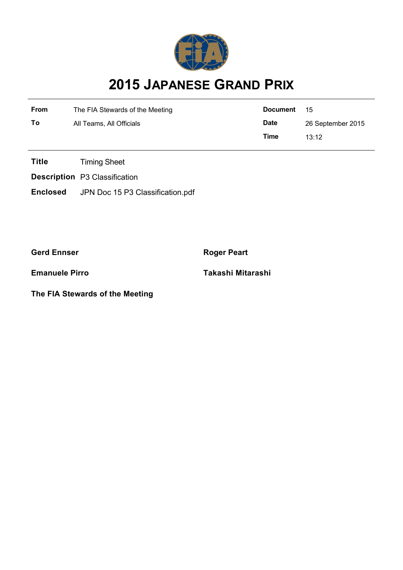

## **2015 JAPANESE GRAND PRIX**

| From | The FIA Stewards of the Meeting | Document    | -15               |
|------|---------------------------------|-------------|-------------------|
| То   | All Teams, All Officials        | <b>Date</b> | 26 September 2015 |
|      |                                 | Time        | 13:12             |

**Title** Timing Sheet

**Description** P3 Classification

**Enclosed** JPN Doc 15 P3 Classification.pdf

**Gerd Ennser Roger Peart** 

**The FIA Stewards of the Meeting**

**Emanuele Pirro Takashi Mitarashi**